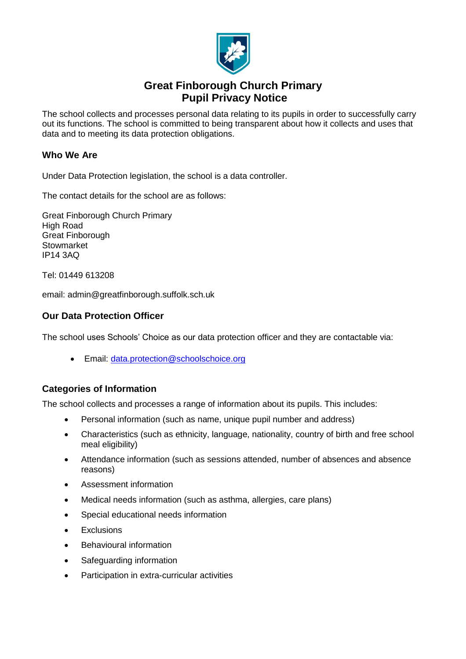

# **Great Finborough Church Primary Pupil Privacy Notice**

The school collects and processes personal data relating to its pupils in order to successfully carry out its functions. The school is committed to being transparent about how it collects and uses that data and to meeting its data protection obligations.

### **Who We Are**

Under Data Protection legislation, the school is a data controller.

The contact details for the school are as follows:

Great Finborough Church Primary High Road Great Finborough **Stowmarket** IP14 3AQ

Tel: 01449 613208

email: admin@greatfinborough.suffolk.sch.uk

### **Our Data Protection Officer**

The school uses Schools' Choice as our data protection officer and they are contactable via:

• Email: [data.protection@schoolschoice.org](mailto:data.protection@schoolschoice.org)

### **Categories of Information**

The school collects and processes a range of information about its pupils. This includes:

- Personal information (such as name, unique pupil number and address)
- Characteristics (such as ethnicity, language, nationality, country of birth and free school meal eligibility)
- Attendance information (such as sessions attended, number of absences and absence reasons)
- Assessment information
- Medical needs information (such as asthma, allergies, care plans)
- Special educational needs information
- Exclusions
- Behavioural information
- Safeguarding information
- Participation in extra-curricular activities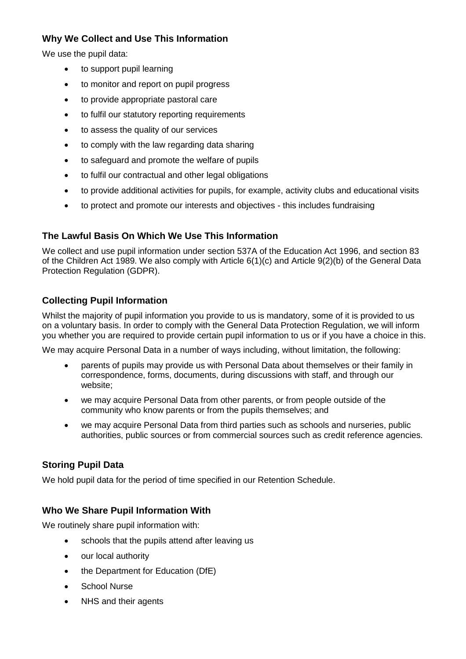## **Why We Collect and Use This Information**

We use the pupil data:

- to support pupil learning
- to monitor and report on pupil progress
- to provide appropriate pastoral care
- to fulfil our statutory reporting requirements
- to assess the quality of our services
- to comply with the law regarding data sharing
- to safeguard and promote the welfare of pupils
- to fulfil our contractual and other legal obligations
- to provide additional activities for pupils, for example, activity clubs and educational visits
- to protect and promote our interests and objectives this includes fundraising

# **The Lawful Basis On Which We Use This Information**

We collect and use pupil information under section 537A of the Education Act 1996, and section 83 of the Children Act 1989. We also comply with Article 6(1)(c) and Article 9(2)(b) of the General Data Protection Regulation (GDPR).

# **Collecting Pupil Information**

Whilst the majority of pupil information you provide to us is mandatory, some of it is provided to us on a voluntary basis. In order to comply with the General Data Protection Regulation, we will inform you whether you are required to provide certain pupil information to us or if you have a choice in this.

We may acquire Personal Data in a number of ways including, without limitation, the following:

- parents of pupils may provide us with Personal Data about themselves or their family in correspondence, forms, documents, during discussions with staff, and through our website;
- we may acquire Personal Data from other parents, or from people outside of the community who know parents or from the pupils themselves; and
- we may acquire Personal Data from third parties such as schools and nurseries, public authorities, public sources or from commercial sources such as credit reference agencies.

### **Storing Pupil Data**

We hold pupil data for the period of time specified in our Retention Schedule.

### **Who We Share Pupil Information With**

We routinely share pupil information with:

- schools that the pupils attend after leaving us
- our local authority
- the Department for Education (DfE)
- School Nurse
- NHS and their agents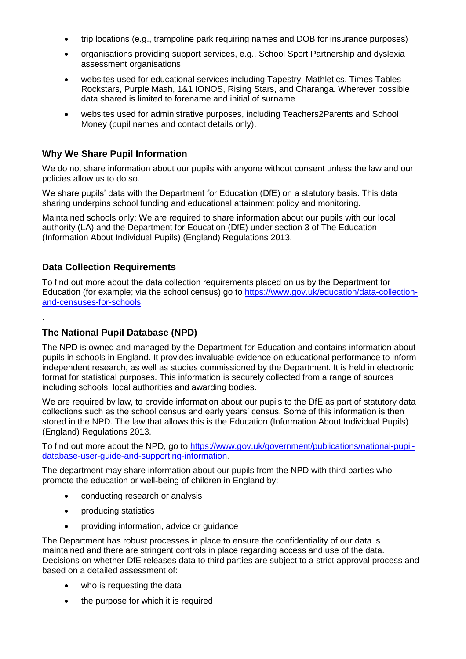- trip locations (e.g., trampoline park requiring names and DOB for insurance purposes)
- organisations providing support services, e.g., School Sport Partnership and dyslexia assessment organisations
- websites used for educational services including Tapestry, Mathletics, Times Tables Rockstars, Purple Mash, 1&1 IONOS, Rising Stars, and Charanga. Wherever possible data shared is limited to forename and initial of surname
- websites used for administrative purposes, including Teachers2Parents and School Money (pupil names and contact details only).

### **Why We Share Pupil Information**

We do not share information about our pupils with anyone without consent unless the law and our policies allow us to do so.

We share pupils' data with the Department for Education (DfE) on a statutory basis. This data sharing underpins school funding and educational attainment policy and monitoring.

Maintained schools only: We are required to share information about our pupils with our local authority (LA) and the Department for Education (DfE) under section 3 of The Education (Information About Individual Pupils) (England) Regulations 2013.

### **Data Collection Requirements**

.

To find out more about the data collection requirements placed on us by the Department for Education (for example; via the school census) go to [https://www.gov.uk/education/data-collection](https://www.gov.uk/education/data-collection-and-censuses-for-schools)[and-censuses-for-schools.](https://www.gov.uk/education/data-collection-and-censuses-for-schools)

### **The National Pupil Database (NPD)**

The NPD is owned and managed by the Department for Education and contains information about pupils in schools in England. It provides invaluable evidence on educational performance to inform independent research, as well as studies commissioned by the Department. It is held in electronic format for statistical purposes. This information is securely collected from a range of sources including schools, local authorities and awarding bodies.

We are required by law, to provide information about our pupils to the DfE as part of statutory data collections such as the school census and early years' census. Some of this information is then stored in the NPD. The law that allows this is the Education (Information About Individual Pupils) (England) Regulations 2013.

To find out more about the NPD, go to [https://www.gov.uk/government/publications/national-pupil](https://www.gov.uk/government/publications/national-pupil-database-user-guide-and-supporting-information)[database-user-guide-and-supporting-information.](https://www.gov.uk/government/publications/national-pupil-database-user-guide-and-supporting-information)

The department may share information about our pupils from the NPD with third parties who promote the education or well-being of children in England by:

- conducting research or analysis
- producing statistics
- providing information, advice or guidance

The Department has robust processes in place to ensure the confidentiality of our data is maintained and there are stringent controls in place regarding access and use of the data. Decisions on whether DfE releases data to third parties are subject to a strict approval process and based on a detailed assessment of:

- who is requesting the data
- the purpose for which it is required